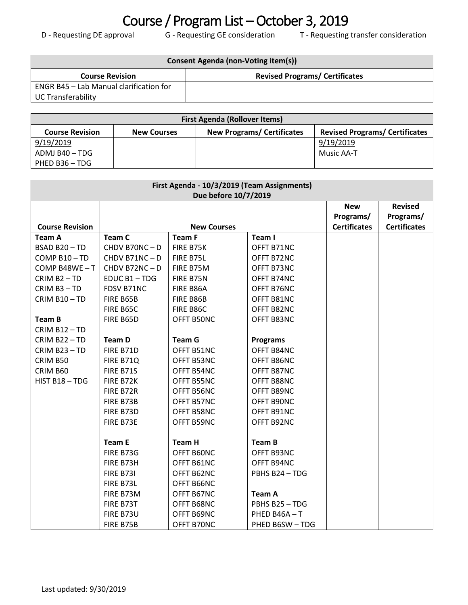## Course / Program List – October 3, 2019<br>
D - Requesting DE approval<br>
G - Requesting GE consideration<br>
T - Requesting

T - Requesting transfer consideration

| Consent Agenda (non-Voting item(s))            |                                       |  |  |
|------------------------------------------------|---------------------------------------|--|--|
| <b>Course Revision</b>                         | <b>Revised Programs/ Certificates</b> |  |  |
| <b>ENGR B45 - Lab Manual clarification for</b> |                                       |  |  |
| <b>UC Transferability</b>                      |                                       |  |  |

| <b>First Agenda (Rollover Items)</b> |                    |                                   |                                       |  |  |
|--------------------------------------|--------------------|-----------------------------------|---------------------------------------|--|--|
| <b>Course Revision</b>               | <b>New Courses</b> | <b>New Programs/ Certificates</b> | <b>Revised Programs/ Certificates</b> |  |  |
| 9/19/2019                            |                    |                                   | 9/19/2019                             |  |  |
| ADMJ B40 - TDG                       |                    |                                   | Music AA-T                            |  |  |
| PHED B36 - TDG                       |                    |                                   |                                       |  |  |

| First Agenda - 10/3/2019 (Team Assignments)<br>Due before 10/7/2019 |                    |               |                 |                                                |                                                    |
|---------------------------------------------------------------------|--------------------|---------------|-----------------|------------------------------------------------|----------------------------------------------------|
| <b>Course Revision</b>                                              | <b>New Courses</b> |               |                 | <b>New</b><br>Programs/<br><b>Certificates</b> | <b>Revised</b><br>Programs/<br><b>Certificates</b> |
| <b>Team A</b>                                                       | Team C             | <b>Team F</b> | Team I          |                                                |                                                    |
| BSAD B20-TD                                                         | CHDV B70NC-D       | FIRE B75K     | OFFT B71NC      |                                                |                                                    |
| COMP B10-TD                                                         | CHDV B71NC-D       | FIRE B75L     | OFFT B72NC      |                                                |                                                    |
| COMP B48WE-T                                                        | CHDV B72NC-D       | FIRE B75M     | OFFT B73NC      |                                                |                                                    |
| CRIM B <sub>2</sub> - TD                                            | EDUC B1-TDG        | FIRE B75N     | OFFT B74NC      |                                                |                                                    |
| CRIM B3-TD                                                          | FDSV B71NC         | FIRE B86A     | OFFT B76NC      |                                                |                                                    |
| CRIM B10-TD                                                         | FIRE B65B          | FIRE B86B     | OFFT B81NC      |                                                |                                                    |
|                                                                     | FIRE B65C          | FIRE B86C     | OFFT B82NC      |                                                |                                                    |
| Team B                                                              | FIRE B65D          | OFFT B50NC    | OFFT B83NC      |                                                |                                                    |
| CRIM B12-TD                                                         |                    |               |                 |                                                |                                                    |
| CRIM B22-TD                                                         | <b>Team D</b>      | <b>Team G</b> | <b>Programs</b> |                                                |                                                    |
| CRIM B23-TD                                                         | FIRE B71D          | OFFT B51NC    | OFFT B84NC      |                                                |                                                    |
| CRIM B50                                                            | FIRE B71Q          | OFFT B53NC    | OFFT B86NC      |                                                |                                                    |
| CRIM B60                                                            | FIRE B71S          | OFFT B54NC    | OFFT B87NC      |                                                |                                                    |
| HIST B18-TDG                                                        | FIRE B72K          | OFFT B55NC    | OFFT B88NC      |                                                |                                                    |
|                                                                     | FIRE B72R          | OFFT B56NC    | OFFT B89NC      |                                                |                                                    |
|                                                                     | FIRE B73B          | OFFT B57NC    | OFFT B90NC      |                                                |                                                    |
|                                                                     | FIRE B73D          | OFFT B58NC    | OFFT B91NC      |                                                |                                                    |
|                                                                     | FIRE B73E          | OFFT B59NC    | OFFT B92NC      |                                                |                                                    |
|                                                                     |                    |               |                 |                                                |                                                    |
|                                                                     | <b>Team E</b>      | <b>Team H</b> | <b>Team B</b>   |                                                |                                                    |
|                                                                     | FIRE B73G          | OFFT B60NC    | OFFT B93NC      |                                                |                                                    |
|                                                                     | FIRE B73H          | OFFT B61NC    | OFFT B94NC      |                                                |                                                    |
|                                                                     | <b>FIRE B731</b>   | OFFT B62NC    | PBHS B24 - TDG  |                                                |                                                    |
|                                                                     | FIRE B73L          | OFFT B66NC    |                 |                                                |                                                    |
|                                                                     | FIRE B73M          | OFFT B67NC    | <b>Team A</b>   |                                                |                                                    |
|                                                                     | FIRE B73T          | OFFT B68NC    | PBHS B25-TDG    |                                                |                                                    |
|                                                                     | FIRE B73U          | OFFT B69NC    | PHED B46A-T     |                                                |                                                    |
|                                                                     | FIRE B75B          | OFFT B70NC    | PHED B6SW-TDG   |                                                |                                                    |